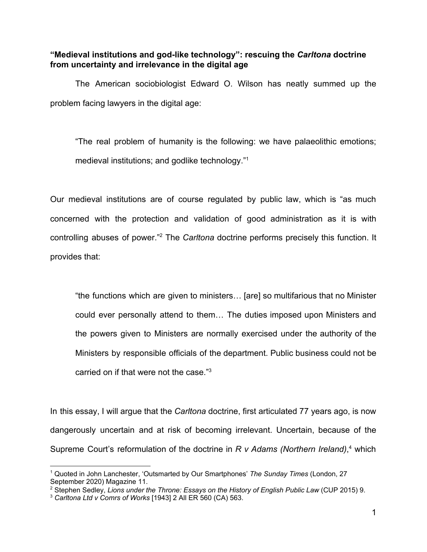# **"Medieval institutions and god-like technology": rescuing the** *Carltona* **doctrine from uncertainty and irrelevance in the digital age**

The American sociobiologist Edward O. Wilson has neatly summed up the problem facing lawyers in the digital age:

"The real problem of humanity is the following: we have palaeolithic emotions; medieval institutions; and godlike technology."<sup>1</sup>

Our medieval institutions are of course regulated by public law, which is "as much concerned with the protection and validation of good administration as it is with controlling abuses of power."<sup>2</sup> The *Carltona* doctrine performs precisely this function. It provides that:

"the functions which are given to ministers… [are] so multifarious that no Minister could ever personally attend to them… The duties imposed upon Ministers and the powers given to Ministers are normally exercised under the authority of the Ministers by responsible officials of the department. Public business could not be carried on if that were not the case."<sup>3</sup>

In this essay, I will argue that the *Carltona* doctrine, first articulated 77 years ago, is now dangerously uncertain and at risk of becoming irrelevant. Uncertain, because of the Supreme Court's reformulation of the doctrine in *R v Adams (Northern Ireland)*, <sup>4</sup> which

<sup>1</sup> Quoted in John Lanchester, 'Outsmarted by Our Smartphones' *The Sunday Times* (London, 27 September 2020) Magazine 11.

<sup>2</sup> Stephen Sedley, *Lions under the Throne: Essays on the History of English Public Law* (CUP 2015) 9.

<sup>3</sup> *Carltona Ltd v Comrs of Works* [1943] 2 All ER 560 (CA) 563.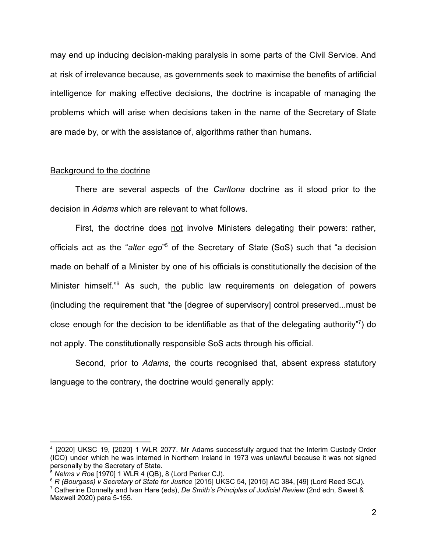may end up inducing decision-making paralysis in some parts of the Civil Service. And at risk of irrelevance because, as governments seek to maximise the benefits of artificial intelligence for making effective decisions, the doctrine is incapable of managing the problems which will arise when decisions taken in the name of the Secretary of State are made by, or with the assistance of, algorithms rather than humans.

#### Background to the doctrine

There are several aspects of the *Carltona* doctrine as it stood prior to the decision in *Adams* which are relevant to what follows.

First, the doctrine does not involve Ministers delegating their powers: rather, officials act as the "*alter ego*" <sup>5</sup> of the Secretary of State (SoS) such that "a decision made on behalf of a Minister by one of his officials is constitutionally the decision of the Minister himself.<sup>"6</sup> As such, the public law requirements on delegation of powers (including the requirement that "the [degree of supervisory] control preserved...must be close enough for the decision to be identifiable as that of the delegating authority"<sup>7</sup> ) do not apply. The constitutionally responsible SoS acts through his official.

Second, prior to *Adams*, the courts recognised that, absent express statutory language to the contrary, the doctrine would generally apply:

<sup>4</sup> [2020] UKSC 19, [2020] 1 WLR 2077. Mr Adams successfully argued that the Interim Custody Order (ICO) under which he was interned in Northern Ireland in 1973 was unlawful because it was not signed personally by the Secretary of State.

<sup>5</sup> *Nelms v Roe* [1970] 1 WLR 4 (QB), 8 (Lord Parker CJ).

<sup>6</sup> *R (Bourgass) v Secretary of State for Justice* [2015] UKSC 54, [2015] AC 384, [49] (Lord Reed SCJ).

<sup>7</sup> Catherine Donnelly and Ivan Hare (eds), *De Smith's Principles of Judicial Review* (2nd edn, Sweet & Maxwell 2020) para 5-155.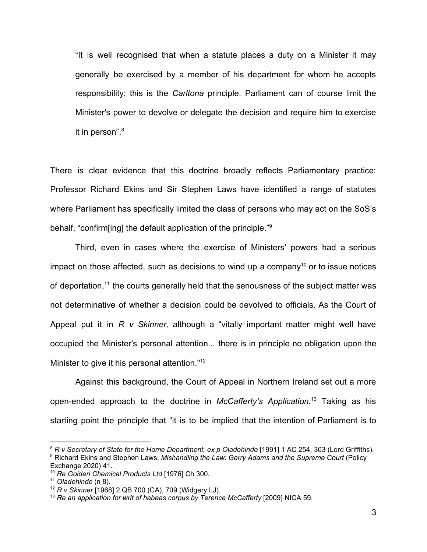"It is well recognised that when a statute places a duty on a Minister it may generally be exercised by a member of his department for whom he accepts responsibility: this is the *Carltona* principle. Parliament can of course limit the Minister's power to devolve or delegate the decision and require him to exercise it in person".<sup>8</sup>

There is clear evidence that this doctrine broadly reflects Parliamentary practice: Professor Richard Ekins and Sir Stephen Laws have identified a range of statutes where Parliament has specifically limited the class of persons who may act on the SoS's behalf, "confirm[ing] the default application of the principle."<sup>9</sup>

Third, even in cases where the exercise of Ministers' powers had a serious impact on those affected, such as decisions to wind up a company<sup>10</sup> or to issue notices of deportation,<sup>11</sup> the courts generally held that the seriousness of the subject matter was not determinative of whether a decision could be devolved to officials. As the Court of Appeal put it in *R v Skinner,* although a "vitally important matter might well have occupied the Minister's personal attention... there is in principle no obligation upon the Minister to give it his personal attention."<sup>12</sup>

Against this background, the Court of Appeal in Northern Ireland set out a more open-ended approach to the doctrine in *McCafferty's Application.*<sup>13</sup> Taking as his starting point the principle that "it is to be implied that the intention of Parliament is to

<sup>8</sup> *R v Secretary of State for the Home Department, ex p Oladehinde* [1991] 1 AC 254, 303 (Lord Griffiths). <sup>9</sup> Richard Ekins and Stephen Laws, *Mishandling the Law: Gerry Adams and the Supreme Court* (Policy Exchange 2020) 41.

<sup>10</sup> *Re Golden Chemical Products Ltd* [1976] Ch 300.

<sup>11</sup> *Oladehinde* (n 8).

<sup>12</sup> *R v Skinner* [1968] 2 QB 700 (CA), 709 (Widgery LJ).

<sup>13</sup> *Re an application for writ of habeas corpus by Terence McCafferty* [2009] NICA 59.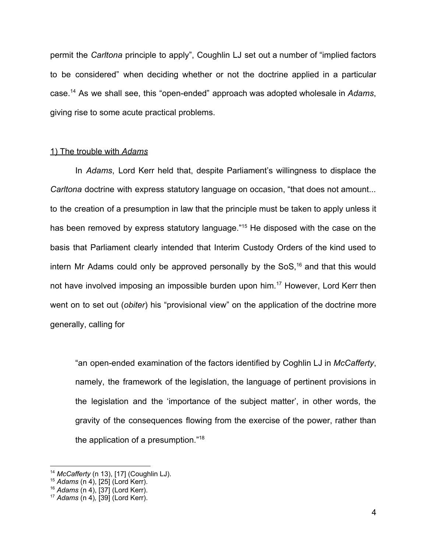permit the *Carltona* principle to apply", Coughlin LJ set out a number of "implied factors to be considered" when deciding whether or not the doctrine applied in a particular case.<sup>14</sup> As we shall see, this "open-ended" approach was adopted wholesale in *Adams*, giving rise to some acute practical problems.

#### 1) The trouble with *Adams*

In *Adams*, Lord Kerr held that, despite Parliament's willingness to displace the *Carltona* doctrine with express statutory language on occasion, "that does not amount... to the creation of a presumption in law that the principle must be taken to apply unless it has been removed by express statutory language."<sup>15</sup> He disposed with the case on the basis that Parliament clearly intended that Interim Custody Orders of the kind used to intern Mr Adams could only be approved personally by the  $SoS<sub>16</sub>$  and that this would not have involved imposing an impossible burden upon him.<sup>17</sup> However, Lord Kerr then went on to set out (*obiter*) his "provisional view" on the application of the doctrine more generally, calling for

"an open-ended examination of the factors identified by Coghlin LJ in *McCafferty*, namely, the framework of the legislation, the language of pertinent provisions in the legislation and the 'importance of the subject matter', in other words, the gravity of the consequences flowing from the exercise of the power, rather than the application of a presumption."<sup>18</sup>

<sup>14</sup> *McCafferty* (n 13), [17] (Coughlin LJ).

<sup>15</sup> *Adams* (n 4), [25] (Lord Kerr).

<sup>16</sup> *Adams* (n 4), [37] (Lord Kerr).

<sup>17</sup> *Adams* (n 4)*,* [39] (Lord Kerr).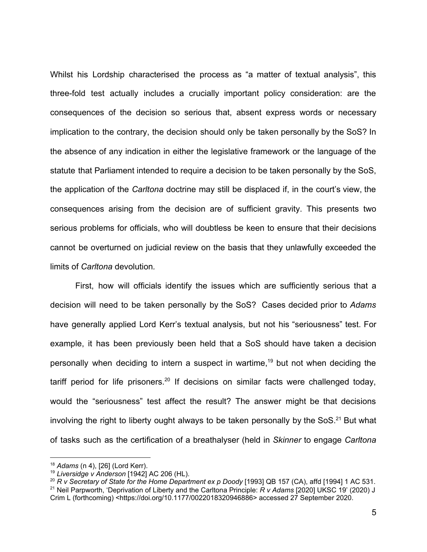Whilst his Lordship characterised the process as "a matter of textual analysis", this three-fold test actually includes a crucially important policy consideration: are the consequences of the decision so serious that, absent express words or necessary implication to the contrary, the decision should only be taken personally by the SoS? In the absence of any indication in either the legislative framework or the language of the statute that Parliament intended to require a decision to be taken personally by the SoS, the application of the *Carltona* doctrine may still be displaced if, in the court's view, the consequences arising from the decision are of sufficient gravity. This presents two serious problems for officials, who will doubtless be keen to ensure that their decisions cannot be overturned on judicial review on the basis that they unlawfully exceeded the limits of *Carltona* devolution*.*

First, how will officials identify the issues which are sufficiently serious that a decision will need to be taken personally by the SoS? Cases decided prior to *Adams* have generally applied Lord Kerr's textual analysis, but not his "seriousness" test. For example, it has been previously been held that a SoS should have taken a decision personally when deciding to intern a suspect in wartime,<sup>19</sup> but not when deciding the tariff period for life prisoners.<sup>20</sup> If decisions on similar facts were challenged today, would the "seriousness" test affect the result? The answer might be that decisions involving the right to liberty ought always to be taken personally by the  $\text{SoS.}^{21}$  But what of tasks such as the certification of a breathalyser (held in *Skinner* to engage *Carltona*

<sup>18</sup> *Adams* (n 4), [26] (Lord Kerr).

<sup>19</sup> *Liversidge v Anderson* [1942] AC 206 (HL).

<sup>20</sup> *R v Secretary of State for the Home Department ex p Doody* [1993] QB 157 (CA), affd [1994] 1 AC 531. <sup>21</sup> Neil Parpworth, 'Deprivation of Liberty and the Carltona Principle: *R v Adams* [2020] UKSC 19' (2020) J

Crim L (forthcoming) <https://doi.org/10.1177/0022018320946886> accessed 27 September 2020.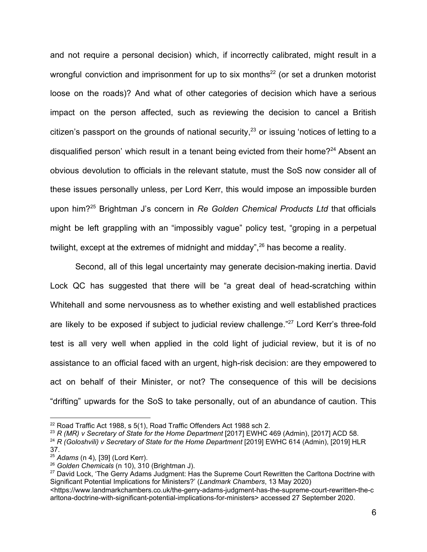and not require a personal decision) which, if incorrectly calibrated, might result in a wrongful conviction and imprisonment for up to six months<sup>22</sup> (or set a drunken motorist loose on the roads)? And what of other categories of decision which have a serious impact on the person affected, such as reviewing the decision to cancel a British citizen's passport on the grounds of national security,  $23$  or issuing 'notices of letting to a disqualified person' which result in a tenant being evicted from their home?<sup>24</sup> Absent an obvious devolution to officials in the relevant statute, must the SoS now consider all of these issues personally unless, per Lord Kerr, this would impose an impossible burden upon him?<sup>25</sup> Brightman J's concern in *Re Golden Chemical Products Ltd* that officials might be left grappling with an "impossibly vague" policy test, "groping in a perpetual twilight, except at the extremes of midnight and midday",<sup>26</sup> has become a reality.

Second, all of this legal uncertainty may generate decision-making inertia. David Lock QC has suggested that there will be "a great deal of head-scratching within Whitehall and some nervousness as to whether existing and well established practices are likely to be exposed if subject to judicial review challenge."<sup>27</sup> Lord Kerr's three-fold test is all very well when applied in the cold light of judicial review, but it is of no assistance to an official faced with an urgent, high-risk decision: are they empowered to act on behalf of their Minister, or not? The consequence of this will be decisions "drifting" upwards for the SoS to take personally, out of an abundance of caution. This

<sup>23</sup> *R (MR) v Secretary of State for the Home Department* [2017] EWHC 469 (Admin), [2017] ACD 58.

<sup>&</sup>lt;sup>22</sup> Road Traffic Act 1988, s 5(1), Road Traffic Offenders Act 1988 sch 2.

<sup>24</sup> *R (Goloshvili) v Secretary of State for the Home Department* [2019] EWHC 614 (Admin), [2019] HLR 37.

<sup>25</sup> *Adams* (n 4)*,* [39] (Lord Kerr).

<sup>26</sup> *Golden Chemicals* (n 10), 310 (Brightman J).

<sup>&</sup>lt;sup>27</sup> David Lock, 'The Gerry Adams Judgment: Has the Supreme Court Rewritten the Carltona Doctrine with Significant Potential Implications for Ministers?' (*Landmark Chambers*, 13 May 2020)

<sup>&</sup>lt;https://www.landmarkchambers.co.uk/the-gerry-adams-judgment-has-the-supreme-court-rewritten-the-c arltona-doctrine-with-significant-potential-implications-for-ministers> accessed 27 September 2020.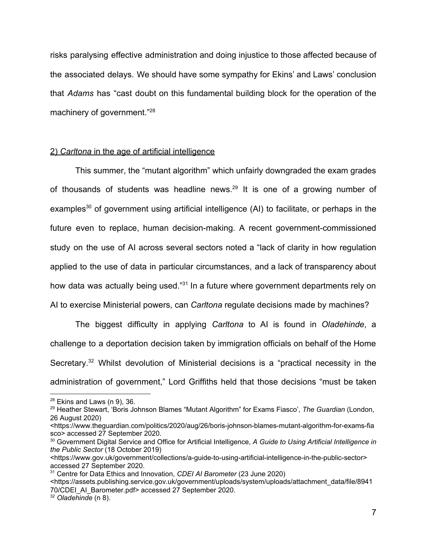risks paralysing effective administration and doing injustice to those affected because of the associated delays. We should have some sympathy for Ekins' and Laws' conclusion that *Adams* has "cast doubt on this fundamental building block for the operation of the machinery of government."<sup>28</sup>

## 2) *Carltona* in the age of artificial intelligence

This summer, the "mutant algorithm" which unfairly downgraded the exam grades of thousands of students was headline news. $29$  It is one of a growing number of examples<sup>30</sup> of government using artificial intelligence  $(AI)$  to facilitate, or perhaps in the future even to replace, human decision-making. A recent government-commissioned study on the use of AI across several sectors noted a "lack of clarity in how regulation applied to the use of data in particular circumstances, and a lack of transparency about how data was actually being used."<sup>31</sup> In a future where government departments rely on AI to exercise Ministerial powers, can *Carltona* regulate decisions made by machines?

The biggest difficulty in applying *Carltona* to AI is found in *Oladehinde*, a challenge to a deportation decision taken by immigration officials on behalf of the Home Secretary.<sup>32</sup> Whilst devolution of Ministerial decisions is a "practical necessity in the administration of government," Lord Griffiths held that those decisions "must be taken

 $28$  Ekins and Laws (n 9), 36.

<sup>29</sup> Heather Stewart, 'Boris Johnson Blames "Mutant Algorithm" for Exams Fiasco', *The Guardian* (London, 26 August 2020)

<sup>&</sup>lt;https://www.theguardian.com/politics/2020/aug/26/boris-johnson-blames-mutant-algorithm-for-exams-fia sco> accessed 27 September 2020.

<sup>30</sup> Government Digital Service and Office for Artificial Intelligence, *A Guide to Using Artificial Intelligence in the Public Sector* (18 October 2019)

<sup>&</sup>lt;https://www.gov.uk/government/collections/a-guide-to-using-artificial-intelligence-in-the-public-sector> accessed 27 September 2020.

<sup>31</sup> Centre for Data Ethics and Innovation, *CDEI AI Barometer* (23 June 2020)

<sup>&</sup>lt;https://assets.publishing.service.gov.uk/government/uploads/system/uploads/attachment\_data/file/8941 70/CDEI\_AI\_Barometer.pdf> accessed 27 September 2020.

<sup>32</sup> *Oladehinde* (n 8).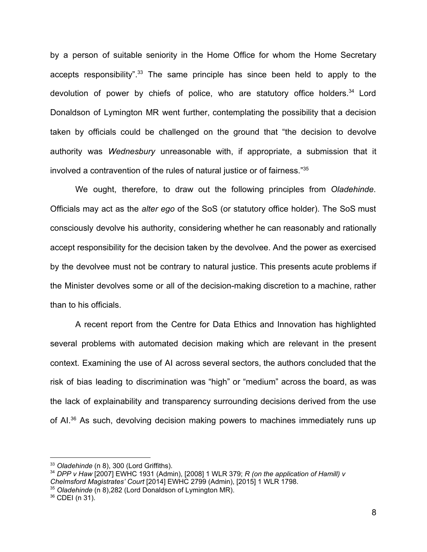by a person of suitable seniority in the Home Office for whom the Home Secretary accepts responsibility".<sup>33</sup> The same principle has since been held to apply to the devolution of power by chiefs of police, who are statutory office holders.<sup>34</sup> Lord Donaldson of Lymington MR went further, contemplating the possibility that a decision taken by officials could be challenged on the ground that "the decision to devolve authority was *Wednesbury* unreasonable with, if appropriate, a submission that it involved a contravention of the rules of natural justice or of fairness."<sup>35</sup>

We ought, therefore, to draw out the following principles from *Oladehinde*. Officials may act as the *alter ego* of the SoS (or statutory office holder). The SoS must consciously devolve his authority, considering whether he can reasonably and rationally accept responsibility for the decision taken by the devolvee. And the power as exercised by the devolvee must not be contrary to natural justice. This presents acute problems if the Minister devolves some or all of the decision-making discretion to a machine, rather than to his officials.

A recent report from the Centre for Data Ethics and Innovation has highlighted several problems with automated decision making which are relevant in the present context. Examining the use of AI across several sectors, the authors concluded that the risk of bias leading to discrimination was "high" or "medium" across the board, as was the lack of explainability and transparency surrounding decisions derived from the use of AI.<sup>36</sup> As such, devolving decision making powers to machines immediately runs up

<sup>33</sup> *Oladehinde* (n 8), 300 (Lord Griffiths).

<sup>34</sup> *DPP v Haw* [2007] EWHC 1931 (Admin), [2008] 1 WLR 379; *R (on the application of Hamill) v Chelmsford Magistrates' Court* [2014] EWHC 2799 (Admin), [2015] 1 WLR 1798.

<sup>35</sup> *Oladehinde* (n 8),282 (Lord Donaldson of Lymington MR).

<sup>36</sup> CDEI (n 31).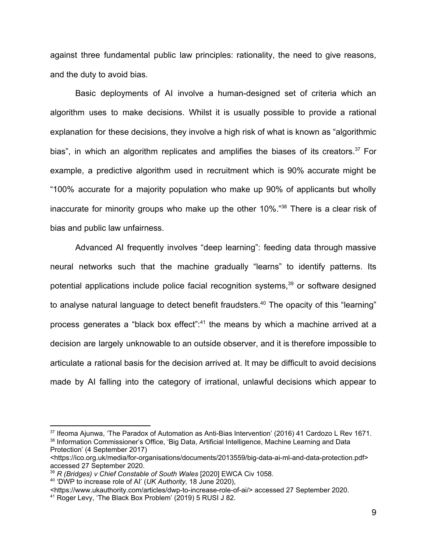against three fundamental public law principles: rationality, the need to give reasons, and the duty to avoid bias.

Basic deployments of AI involve a human-designed set of criteria which an algorithm uses to make decisions. Whilst it is usually possible to provide a rational explanation for these decisions, they involve a high risk of what is known as "algorithmic bias", in which an algorithm replicates and amplifies the biases of its creators.<sup>37</sup> For example, a predictive algorithm used in recruitment which is 90% accurate might be "100% accurate for a majority population who make up 90% of applicants but wholly inaccurate for minority groups who make up the other 10%."<sup>38</sup> There is a clear risk of bias and public law unfairness.

Advanced AI frequently involves "deep learning": feeding data through massive neural networks such that the machine gradually "learns" to identify patterns. Its potential applications include police facial recognition systems,<sup>39</sup> or software designed to analyse natural language to detect benefit fraudsters.<sup>40</sup> The opacity of this "learning" process generates a "black box effect":<sup>41</sup> the means by which a machine arrived at a decision are largely unknowable to an outside observer, and it is therefore impossible to articulate a rational basis for the decision arrived at. It may be difficult to avoid decisions made by AI falling into the category of irrational, unlawful decisions which appear to

<sup>&</sup>lt;sup>37</sup> Ifeoma Ajunwa, 'The Paradox of Automation as Anti-Bias Intervention' (2016) 41 Cardozo L Rev 1671. <sup>38</sup> Information Commissioner's Office, 'Big Data, Artificial Intelligence, Machine Learning and Data Protection' (4 September 2017)

<sup>&</sup>lt;https://ico.org.uk/media/for-organisations/documents/2013559/big-data-ai-ml-and-data-protection.pdf> accessed 27 September 2020.

<sup>39</sup> *R (Bridges) v Chief Constable of South Wales* [2020] EWCA Civ 1058.

<sup>40</sup> 'DWP to increase role of AI' (*UK Authority,* 18 June 2020),

<sup>&</sup>lt;https://www.ukauthority.com/articles/dwp-to-increase-role-of-ai/> accessed 27 September 2020.

<sup>41</sup> Roger Levy, 'The Black Box Problem' (2019) 5 RUSI J 82.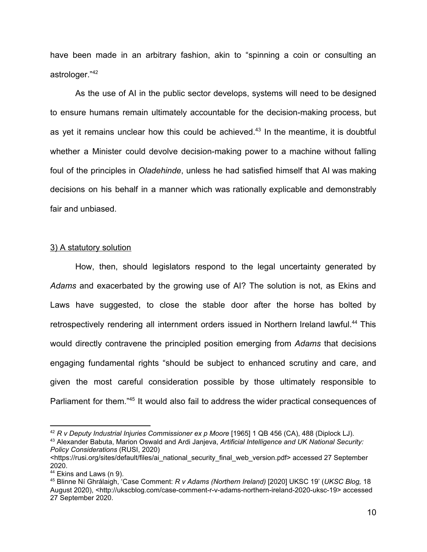have been made in an arbitrary fashion, akin to "spinning a coin or consulting an astrologer."<sup>42</sup>

As the use of AI in the public sector develops, systems will need to be designed to ensure humans remain ultimately accountable for the decision-making process, but as yet it remains unclear how this could be achieved.<sup>43</sup> In the meantime, it is doubtful whether a Minister could devolve decision-making power to a machine without falling foul of the principles in *Oladehinde*, unless he had satisfied himself that AI was making decisions on his behalf in a manner which was rationally explicable and demonstrably fair and unbiased.

### 3) A statutory solution

How, then, should legislators respond to the legal uncertainty generated by *Adams* and exacerbated by the growing use of AI? The solution is not, as Ekins and Laws have suggested, to close the stable door after the horse has bolted by retrospectively rendering all internment orders issued in Northern Ireland lawful.<sup>44</sup> This would directly contravene the principled position emerging from *Adams* that decisions engaging fundamental rights "should be subject to enhanced scrutiny and care, and given the most careful consideration possible by those ultimately responsible to Parliament for them."<sup>45</sup> It would also fail to address the wider practical consequences of

<sup>42</sup> *R v Deputy Industrial Injuries Commissioner ex p Moore* [1965] 1 QB 456 (CA), 488 (Diplock LJ).

<sup>43</sup> Alexander Babuta, Marion Oswald and Ardi Janjeva, *Artificial Intelligence and UK National Security: Policy Considerations* (RUSI, 2020)

<sup>&</sup>lt;https://rusi.org/sites/default/files/ai\_national\_security\_final\_web\_version.pdf> accessed 27 September 2020.

<sup>&</sup>lt;sup>44</sup> Ekins and Laws (n 9).

<sup>45</sup> Blinne Ní Ghrálaigh, 'Case Comment: *R v Adams (Northern Ireland)* [2020] UKSC 19' (*UKSC Blog,* 18 August 2020), <http://ukscblog.com/case-comment-r-v-adams-northern-ireland-2020-uksc-19> accessed 27 September 2020.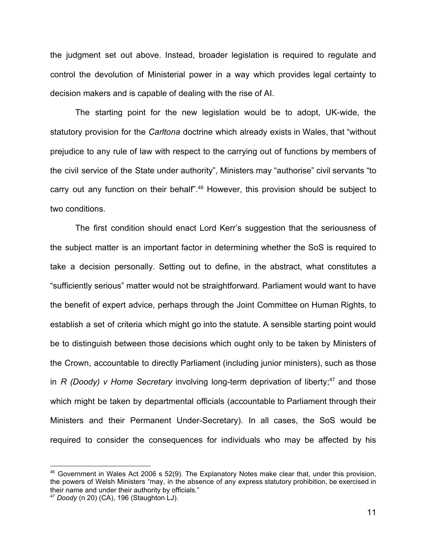the judgment set out above. Instead, broader legislation is required to regulate and control the devolution of Ministerial power in a way which provides legal certainty to decision makers and is capable of dealing with the rise of AI.

The starting point for the new legislation would be to adopt, UK-wide, the statutory provision for the *Carltona* doctrine which already exists in Wales, that "without prejudice to any rule of law with respect to the carrying out of functions by members of the civil service of the State under authority", Ministers may "authorise" civil servants "to carry out any function on their behalf".<sup>46</sup> However, this provision should be subject to two conditions.

The first condition should enact Lord Kerr's suggestion that the seriousness of the subject matter is an important factor in determining whether the SoS is required to take a decision personally. Setting out to define, in the abstract, what constitutes a "sufficiently serious" matter would not be straightforward. Parliament would want to have the benefit of expert advice, perhaps through the Joint Committee on Human Rights, to establish a set of criteria which might go into the statute. A sensible starting point would be to distinguish between those decisions which ought only to be taken by Ministers of the Crown, accountable to directly Parliament (including junior ministers), such as those in *R (Doody) v Home Secretary* involving long-term deprivation of liberty;<sup>47</sup> and those which might be taken by departmental officials (accountable to Parliament through their Ministers and their Permanent Under-Secretary). In all cases, the SoS would be required to consider the consequences for individuals who may be affected by his

<sup>46</sup> Government in Wales Act 2006 s 52(9). The Explanatory Notes make clear that, under this provision, the powers of Welsh Ministers "may, in the absence of any express statutory prohibition, be exercised in their name and under their authority by officials."

<sup>47</sup> *Doody* (n 20) (CA), 196 (Staughton LJ).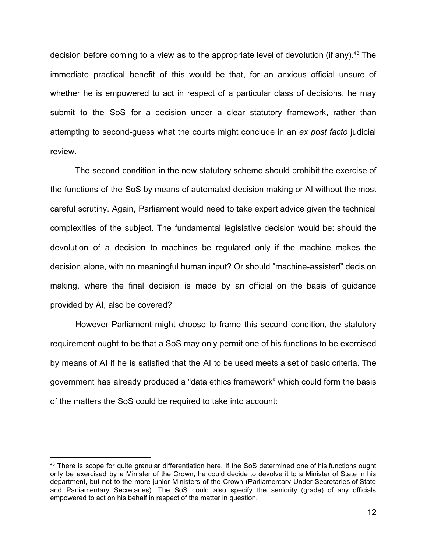decision before coming to a view as to the appropriate level of devolution (if any).<sup>48</sup> The immediate practical benefit of this would be that, for an anxious official unsure of whether he is empowered to act in respect of a particular class of decisions, he may submit to the SoS for a decision under a clear statutory framework, rather than attempting to second-guess what the courts might conclude in an *ex post facto* judicial review.

The second condition in the new statutory scheme should prohibit the exercise of the functions of the SoS by means of automated decision making or AI without the most careful scrutiny. Again, Parliament would need to take expert advice given the technical complexities of the subject. The fundamental legislative decision would be: should the devolution of a decision to machines be regulated only if the machine makes the decision alone, with no meaningful human input? Or should "machine-assisted" decision making, where the final decision is made by an official on the basis of guidance provided by AI, also be covered?

However Parliament might choose to frame this second condition, the statutory requirement ought to be that a SoS may only permit one of his functions to be exercised by means of AI if he is satisfied that the AI to be used meets a set of basic criteria. The government has already produced a "data ethics framework" which could form the basis of the matters the SoS could be required to take into account:

<sup>&</sup>lt;sup>48</sup> There is scope for quite granular differentiation here. If the SoS determined one of his functions ought only be exercised by a Minister of the Crown, he could decide to devolve it to a Minister of State in his department, but not to the more junior Ministers of the Crown (Parliamentary Under-Secretaries of State and Parliamentary Secretaries). The SoS could also specify the seniority (grade) of any officials empowered to act on his behalf in respect of the matter in question.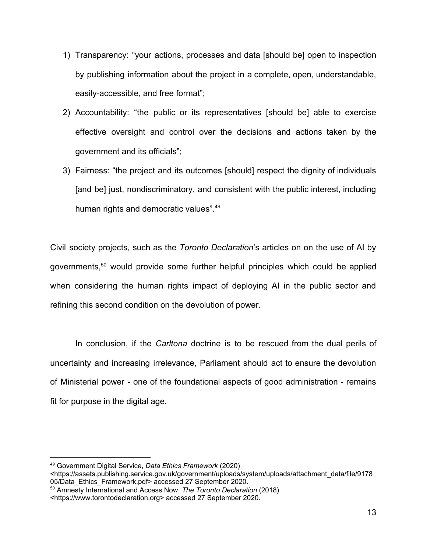- 1) Transparency: "your actions, processes and data [should be] open to inspection by publishing information about the project in a complete, open, understandable, easily-accessible, and free format";
- 2) Accountability: "the public or its representatives [should be] able to exercise effective oversight and control over the decisions and actions taken by the government and its officials";
- 3) Fairness: "the project and its outcomes [should] respect the dignity of individuals [and be] just, nondiscriminatory, and consistent with the public interest, including human rights and democratic values".<sup>49</sup>

Civil society projects, such as the *Toronto Declaration*'s articles on on the use of AI by governments,<sup>50</sup> would provide some further helpful principles which could be applied when considering the human rights impact of deploying AI in the public sector and refining this second condition on the devolution of power.

In conclusion, if the *Carltona* doctrine is to be rescued from the dual perils of uncertainty and increasing irrelevance, Parliament should act to ensure the devolution of Ministerial power - one of the foundational aspects of good administration - remains fit for purpose in the digital age.

<sup>49</sup> Government Digital Service, *Data Ethics Framework* (2020)

<sup>&</sup>lt;https://assets.publishing.service.gov.uk/government/uploads/system/uploads/attachment\_data/file/9178 05/Data\_Ethics\_Framework.pdf> accessed 27 September 2020.

<sup>50</sup> Amnesty International and Access Now, *The Toronto Declaration* (2018)

<sup>&</sup>lt;https://www.torontodeclaration.org> accessed 27 September 2020.